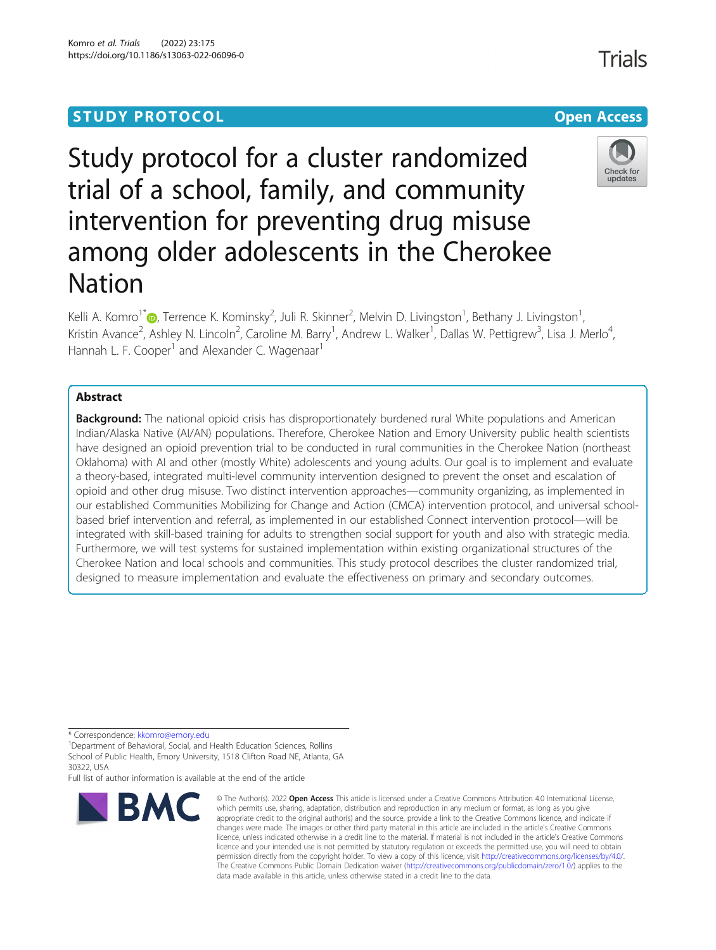# **STUDY PROTOCOL CONSUMING THE RESERVE ACCESS**

# Study protocol for a cluster randomized trial of a school, family, and community intervention for preventing drug misuse among older adolescents in the Cherokee Nation

Kelli A. Komro<sup>1\*</sup> (**p**[,](http://orcid.org/0000-0002-7893-9558) Terrence K. Kominsky<sup>2</sup>, Juli R. Skinner<sup>2</sup>, Melvin D. Livingston<sup>1</sup>, Bethany J. Livingston<sup>1</sup> , Kristin Avance<sup>2</sup>, Ashley N. Lincoln<sup>2</sup>, Caroline M. Barry<sup>1</sup>, Andrew L. Walker<sup>1</sup>, Dallas W. Pettigrew<sup>3</sup>, Lisa J. Merlo<sup>4</sup> , Hannah L. F. Cooper<sup>1</sup> and Alexander C. Wagenaar<sup>1</sup>

# Abstract

Background: The national opioid crisis has disproportionately burdened rural White populations and American Indian/Alaska Native (AI/AN) populations. Therefore, Cherokee Nation and Emory University public health scientists have designed an opioid prevention trial to be conducted in rural communities in the Cherokee Nation (northeast Oklahoma) with AI and other (mostly White) adolescents and young adults. Our goal is to implement and evaluate a theory-based, integrated multi-level community intervention designed to prevent the onset and escalation of opioid and other drug misuse. Two distinct intervention approaches—community organizing, as implemented in our established Communities Mobilizing for Change and Action (CMCA) intervention protocol, and universal schoolbased brief intervention and referral, as implemented in our established Connect intervention protocol—will be integrated with skill-based training for adults to strengthen social support for youth and also with strategic media. Furthermore, we will test systems for sustained implementation within existing organizational structures of the Cherokee Nation and local schools and communities. This study protocol describes the cluster randomized trial, designed to measure implementation and evaluate the effectiveness on primary and secondary outcomes.

\* Correspondence: [kkomro@emory.edu](mailto:kkomro@emory.edu) <sup>1</sup>

**BMC** 

<sup>1</sup>Department of Behavioral, Social, and Health Education Sciences, Rollins School of Public Health, Emory University, 1518 Clifton Road NE, Atlanta, GA 30322, USA

Full list of author information is available at the end of the article

#### © The Author(s), 2022 **Open Access** This article is licensed under a Creative Commons Attribution 4.0 International License, which permits use, sharing, adaptation, distribution and reproduction in any medium or format, as long as you give appropriate credit to the original author(s) and the source, provide a link to the Creative Commons licence, and indicate if changes were made. The images or other third party material in this article are included in the article's Creative Commons licence, unless indicated otherwise in a credit line to the material. If material is not included in the article's Creative Commons licence and your intended use is not permitted by statutory regulation or exceeds the permitted use, you will need to obtain permission directly from the copyright holder. To view a copy of this licence, visit [http://creativecommons.org/licenses/by/4.0/.](http://creativecommons.org/licenses/by/4.0/) The Creative Commons Public Domain Dedication waiver [\(http://creativecommons.org/publicdomain/zero/1.0/](http://creativecommons.org/publicdomain/zero/1.0/)) applies to the data made available in this article, unless otherwise stated in a credit line to the data.

Komro et al. Trials (2022) 23:175 https://doi.org/10.1186/s13063-022-06096-0



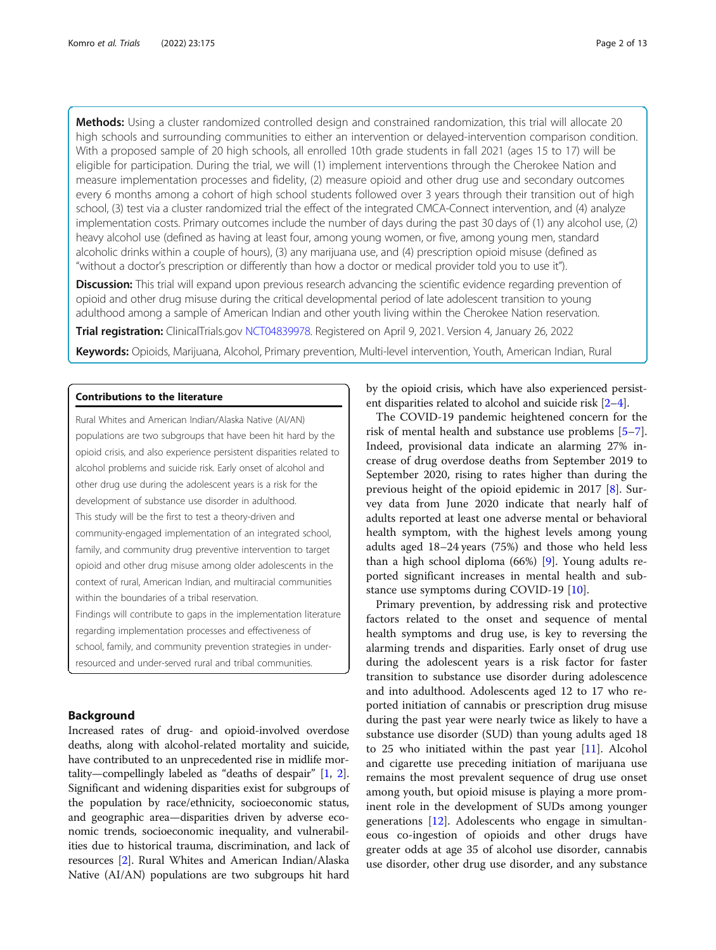Methods: Using a cluster randomized controlled design and constrained randomization, this trial will allocate 20 high schools and surrounding communities to either an intervention or delayed-intervention comparison condition. With a proposed sample of 20 high schools, all enrolled 10th grade students in fall 2021 (ages 15 to 17) will be eligible for participation. During the trial, we will (1) implement interventions through the Cherokee Nation and measure implementation processes and fidelity, (2) measure opioid and other drug use and secondary outcomes every 6 months among a cohort of high school students followed over 3 years through their transition out of high school, (3) test via a cluster randomized trial the effect of the integrated CMCA-Connect intervention, and (4) analyze implementation costs. Primary outcomes include the number of days during the past 30 days of (1) any alcohol use, (2) heavy alcohol use (defined as having at least four, among young women, or five, among young men, standard alcoholic drinks within a couple of hours), (3) any marijuana use, and (4) prescription opioid misuse (defined as "without a doctor's prescription or differently than how a doctor or medical provider told you to use it").

**Discussion:** This trial will expand upon previous research advancing the scientific evidence regarding prevention of opioid and other drug misuse during the critical developmental period of late adolescent transition to young adulthood among a sample of American Indian and other youth living within the Cherokee Nation reservation.

Trial registration: ClinicalTrials.gov [NCT04839978](https://clinicaltrials.gov/ct2/show/NCT04839978). Registered on April 9, 2021. Version 4, January 26, 2022

Keywords: Opioids, Marijuana, Alcohol, Primary prevention, Multi-level intervention, Youth, American Indian, Rural

# Contributions to the literature

Rural Whites and American Indian/Alaska Native (AI/AN) populations are two subgroups that have been hit hard by the opioid crisis, and also experience persistent disparities related to alcohol problems and suicide risk. Early onset of alcohol and other drug use during the adolescent years is a risk for the development of substance use disorder in adulthood. This study will be the first to test a theory-driven and community-engaged implementation of an integrated school, family, and community drug preventive intervention to target opioid and other drug misuse among older adolescents in the context of rural, American Indian, and multiracial communities within the boundaries of a tribal reservation.

Findings will contribute to gaps in the implementation literature regarding implementation processes and effectiveness of school, family, and community prevention strategies in underresourced and under-served rural and tribal communities.

# Background

Increased rates of drug- and opioid-involved overdose deaths, along with alcohol-related mortality and suicide, have contributed to an unprecedented rise in midlife mortality—compellingly labeled as "deaths of despair" [\[1](#page-12-0), [2](#page-12-0)]. Significant and widening disparities exist for subgroups of the population by race/ethnicity, socioeconomic status, and geographic area—disparities driven by adverse economic trends, socioeconomic inequality, and vulnerabilities due to historical trauma, discrimination, and lack of resources [\[2](#page-12-0)]. Rural Whites and American Indian/Alaska Native (AI/AN) populations are two subgroups hit hard

by the opioid crisis, which have also experienced persistent disparities related to alcohol and suicide risk [\[2](#page-12-0)–[4\]](#page-12-0).

The COVID-19 pandemic heightened concern for the risk of mental health and substance use problems [\[5](#page-12-0)–[7](#page-12-0)]. Indeed, provisional data indicate an alarming 27% increase of drug overdose deaths from September 2019 to September 2020, rising to rates higher than during the previous height of the opioid epidemic in 2017 [\[8](#page-12-0)]. Survey data from June 2020 indicate that nearly half of adults reported at least one adverse mental or behavioral health symptom, with the highest levels among young adults aged 18–24 years (75%) and those who held less than a high school diploma (66%) [\[9\]](#page-12-0). Young adults reported significant increases in mental health and substance use symptoms during COVID-19 [\[10](#page-12-0)].

Primary prevention, by addressing risk and protective factors related to the onset and sequence of mental health symptoms and drug use, is key to reversing the alarming trends and disparities. Early onset of drug use during the adolescent years is a risk factor for faster transition to substance use disorder during adolescence and into adulthood. Adolescents aged 12 to 17 who reported initiation of cannabis or prescription drug misuse during the past year were nearly twice as likely to have a substance use disorder (SUD) than young adults aged 18 to 25 who initiated within the past year [[11\]](#page-12-0). Alcohol and cigarette use preceding initiation of marijuana use remains the most prevalent sequence of drug use onset among youth, but opioid misuse is playing a more prominent role in the development of SUDs among younger generations [\[12](#page-12-0)]. Adolescents who engage in simultaneous co-ingestion of opioids and other drugs have greater odds at age 35 of alcohol use disorder, cannabis use disorder, other drug use disorder, and any substance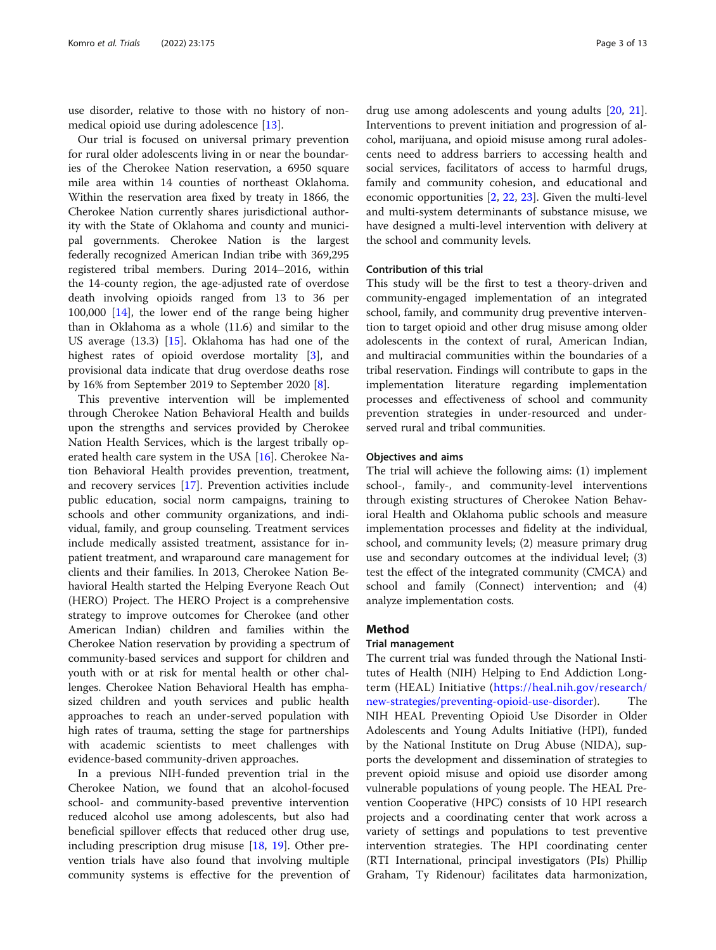use disorder, relative to those with no history of nonmedical opioid use during adolescence [[13\]](#page-12-0).

Our trial is focused on universal primary prevention for rural older adolescents living in or near the boundaries of the Cherokee Nation reservation, a 6950 square mile area within 14 counties of northeast Oklahoma. Within the reservation area fixed by treaty in 1866, the Cherokee Nation currently shares jurisdictional authority with the State of Oklahoma and county and municipal governments. Cherokee Nation is the largest federally recognized American Indian tribe with 369,295 registered tribal members. During 2014–2016, within the 14-county region, the age-adjusted rate of overdose death involving opioids ranged from 13 to 36 per 100,000 [\[14\]](#page-12-0), the lower end of the range being higher than in Oklahoma as a whole (11.6) and similar to the US average (13.3) [\[15\]](#page-12-0). Oklahoma has had one of the highest rates of opioid overdose mortality [\[3](#page-12-0)], and provisional data indicate that drug overdose deaths rose by 16% from September 2019 to September 2020 [\[8](#page-12-0)].

This preventive intervention will be implemented through Cherokee Nation Behavioral Health and builds upon the strengths and services provided by Cherokee Nation Health Services, which is the largest tribally operated health care system in the USA [\[16](#page-12-0)]. Cherokee Nation Behavioral Health provides prevention, treatment, and recovery services [\[17](#page-12-0)]. Prevention activities include public education, social norm campaigns, training to schools and other community organizations, and individual, family, and group counseling. Treatment services include medically assisted treatment, assistance for inpatient treatment, and wraparound care management for clients and their families. In 2013, Cherokee Nation Behavioral Health started the Helping Everyone Reach Out (HERO) Project. The HERO Project is a comprehensive strategy to improve outcomes for Cherokee (and other American Indian) children and families within the Cherokee Nation reservation by providing a spectrum of community-based services and support for children and youth with or at risk for mental health or other challenges. Cherokee Nation Behavioral Health has emphasized children and youth services and public health approaches to reach an under-served population with high rates of trauma, setting the stage for partnerships with academic scientists to meet challenges with evidence-based community-driven approaches.

In a previous NIH-funded prevention trial in the Cherokee Nation, we found that an alcohol-focused school- and community-based preventive intervention reduced alcohol use among adolescents, but also had beneficial spillover effects that reduced other drug use, including prescription drug misuse [\[18](#page-12-0), [19](#page-12-0)]. Other prevention trials have also found that involving multiple community systems is effective for the prevention of

drug use among adolescents and young adults [\[20](#page-12-0), [21](#page-12-0)]. Interventions to prevent initiation and progression of alcohol, marijuana, and opioid misuse among rural adolescents need to address barriers to accessing health and social services, facilitators of access to harmful drugs, family and community cohesion, and educational and economic opportunities [\[2](#page-12-0), [22](#page-12-0), [23](#page-12-0)]. Given the multi-level and multi-system determinants of substance misuse, we have designed a multi-level intervention with delivery at the school and community levels.

# Contribution of this trial

This study will be the first to test a theory-driven and community-engaged implementation of an integrated school, family, and community drug preventive intervention to target opioid and other drug misuse among older adolescents in the context of rural, American Indian, and multiracial communities within the boundaries of a tribal reservation. Findings will contribute to gaps in the implementation literature regarding implementation processes and effectiveness of school and community prevention strategies in under-resourced and underserved rural and tribal communities.

# Objectives and aims

The trial will achieve the following aims: (1) implement school-, family-, and community-level interventions through existing structures of Cherokee Nation Behavioral Health and Oklahoma public schools and measure implementation processes and fidelity at the individual, school, and community levels; (2) measure primary drug use and secondary outcomes at the individual level; (3) test the effect of the integrated community (CMCA) and school and family (Connect) intervention; and (4) analyze implementation costs.

# Method

# Trial management

The current trial was funded through the National Institutes of Health (NIH) Helping to End Addiction Longterm (HEAL) Initiative ([https://heal.nih.gov/research/](https://heal.nih.gov/research/new-strategies/preventing-opioid-use-disorder) [new-strategies/preventing-opioid-use-disorder\)](https://heal.nih.gov/research/new-strategies/preventing-opioid-use-disorder). The NIH HEAL Preventing Opioid Use Disorder in Older Adolescents and Young Adults Initiative (HPI), funded by the National Institute on Drug Abuse (NIDA), supports the development and dissemination of strategies to prevent opioid misuse and opioid use disorder among vulnerable populations of young people. The HEAL Prevention Cooperative (HPC) consists of 10 HPI research projects and a coordinating center that work across a variety of settings and populations to test preventive intervention strategies. The HPI coordinating center (RTI International, principal investigators (PIs) Phillip Graham, Ty Ridenour) facilitates data harmonization,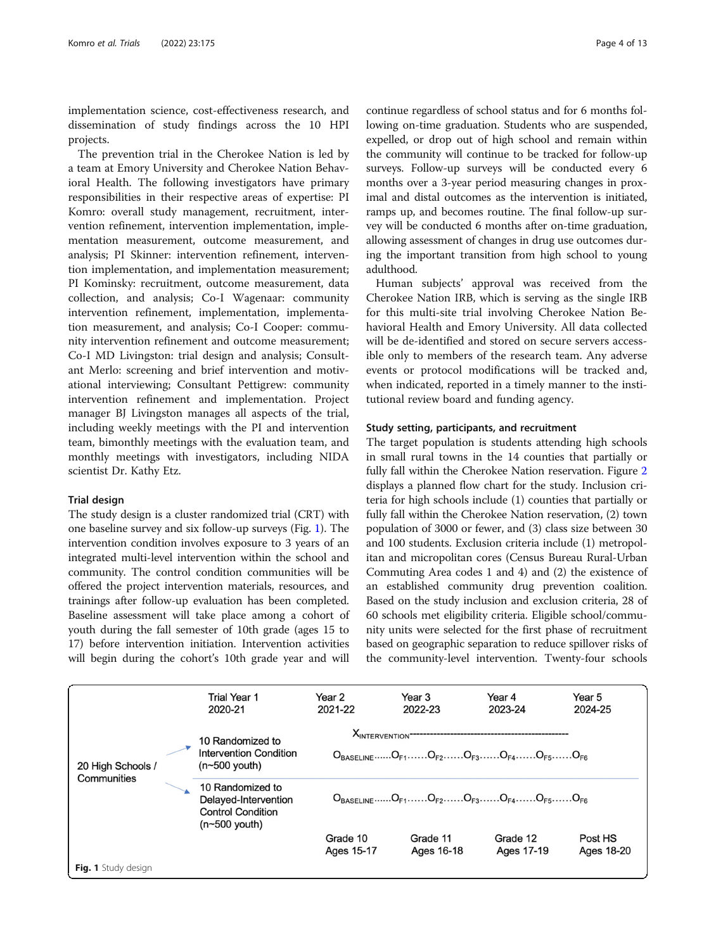implementation science, cost-effectiveness research, and dissemination of study findings across the 10 HPI projects.

The prevention trial in the Cherokee Nation is led by a team at Emory University and Cherokee Nation Behavioral Health. The following investigators have primary responsibilities in their respective areas of expertise: PI Komro: overall study management, recruitment, intervention refinement, intervention implementation, implementation measurement, outcome measurement, and analysis; PI Skinner: intervention refinement, intervention implementation, and implementation measurement; PI Kominsky: recruitment, outcome measurement, data collection, and analysis; Co-I Wagenaar: community intervention refinement, implementation, implementation measurement, and analysis; Co-I Cooper: community intervention refinement and outcome measurement; Co-I MD Livingston: trial design and analysis; Consultant Merlo: screening and brief intervention and motivational interviewing; Consultant Pettigrew: community intervention refinement and implementation. Project manager BJ Livingston manages all aspects of the trial, including weekly meetings with the PI and intervention team, bimonthly meetings with the evaluation team, and monthly meetings with investigators, including NIDA scientist Dr. Kathy Etz.

# Trial design

The study design is a cluster randomized trial (CRT) with one baseline survey and six follow-up surveys (Fig. 1). The intervention condition involves exposure to 3 years of an integrated multi-level intervention within the school and community. The control condition communities will be offered the project intervention materials, resources, and trainings after follow-up evaluation has been completed. Baseline assessment will take place among a cohort of youth during the fall semester of 10th grade (ages 15 to 17) before intervention initiation. Intervention activities will begin during the cohort's 10th grade year and will

continue regardless of school status and for 6 months following on-time graduation. Students who are suspended, expelled, or drop out of high school and remain within the community will continue to be tracked for follow-up surveys. Follow-up surveys will be conducted every 6 months over a 3-year period measuring changes in proximal and distal outcomes as the intervention is initiated, ramps up, and becomes routine. The final follow-up survey will be conducted 6 months after on-time graduation, allowing assessment of changes in drug use outcomes during the important transition from high school to young adulthood.

Human subjects' approval was received from the Cherokee Nation IRB, which is serving as the single IRB for this multi-site trial involving Cherokee Nation Behavioral Health and Emory University. All data collected will be de-identified and stored on secure servers accessible only to members of the research team. Any adverse events or protocol modifications will be tracked and, when indicated, reported in a timely manner to the institutional review board and funding agency.

# Study setting, participants, and recruitment

The target population is students attending high schools in small rural towns in the 14 counties that partially or fully fall within the Cherokee Nation reservation. Figure [2](#page-4-0) displays a planned flow chart for the study. Inclusion criteria for high schools include (1) counties that partially or fully fall within the Cherokee Nation reservation, (2) town population of 3000 or fewer, and (3) class size between 30 and 100 students. Exclusion criteria include (1) metropolitan and micropolitan cores (Census Bureau Rural-Urban Commuting Area codes 1 and 4) and (2) the existence of an established community drug prevention coalition. Based on the study inclusion and exclusion criteria, 28 of 60 schools met eligibility criteria. Eligible school/community units were selected for the first phase of recruitment based on geographic separation to reduce spillover risks of the community-level intervention. Twenty-four schools

|                                  |  | <b>Trial Year 1</b><br>2020-21                                                         | Year 2<br>2021-22                                                                                                                                                                                                                               | Year 3<br>2022-23      | Year 4<br>2023-24      | Year 5<br>2024-25     |
|----------------------------------|--|----------------------------------------------------------------------------------------|-------------------------------------------------------------------------------------------------------------------------------------------------------------------------------------------------------------------------------------------------|------------------------|------------------------|-----------------------|
| 20 High Schools /<br>Communities |  | 10 Randomized to<br><b>Intervention Condition</b><br>$(n \sim 500$ youth)              | <b>XINTERVENTION</b> <sup>----------------------------</sup><br>$O_{\text{BASEI INF}} \n 0_{\text{F1}} \n 0_{\text{F2}} \n 0_{\text{F3}} \n 0_{\text{F3}} \n 0_{\text{F4}} \n 0_{\text{F4}} \n 0_{\text{F5}} \n 0_{\text{F6}} \n 0_{\text{F6}}$ |                        |                        |                       |
|                                  |  | 10 Randomized to<br>Delayed-Intervention<br><b>Control Condition</b><br>$(n500$ youth) | $O_{\text{BASEI INE}} \nO_{\text{E1}} \nO_{\text{E2}} \nO_{\text{E3}} \nO_{\text{E3}} \nO_{\text{E4}} \nO_{\text{E4}} \nO_{\text{E5}} \nO_{\text{E6}} \nO_{\text{E6}}$                                                                          |                        |                        |                       |
|                                  |  |                                                                                        | Grade 10<br>Ages 15-17                                                                                                                                                                                                                          | Grade 11<br>Ages 16-18 | Grade 12<br>Ages 17-19 | Post HS<br>Ages 18-20 |
| Fig. 1 Study design              |  |                                                                                        |                                                                                                                                                                                                                                                 |                        |                        |                       |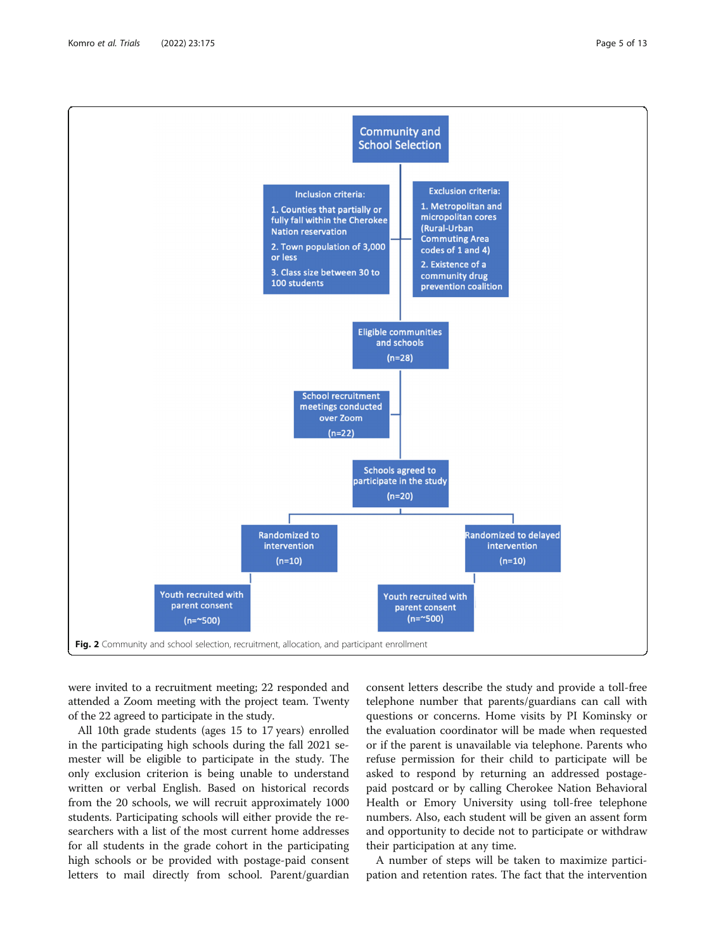<span id="page-4-0"></span>

were invited to a recruitment meeting; 22 responded and attended a Zoom meeting with the project team. Twenty of the 22 agreed to participate in the study.

All 10th grade students (ages 15 to 17 years) enrolled in the participating high schools during the fall 2021 semester will be eligible to participate in the study. The only exclusion criterion is being unable to understand written or verbal English. Based on historical records from the 20 schools, we will recruit approximately 1000 students. Participating schools will either provide the researchers with a list of the most current home addresses for all students in the grade cohort in the participating high schools or be provided with postage-paid consent letters to mail directly from school. Parent/guardian

consent letters describe the study and provide a toll-free telephone number that parents/guardians can call with questions or concerns. Home visits by PI Kominsky or the evaluation coordinator will be made when requested or if the parent is unavailable via telephone. Parents who refuse permission for their child to participate will be asked to respond by returning an addressed postagepaid postcard or by calling Cherokee Nation Behavioral Health or Emory University using toll-free telephone numbers. Also, each student will be given an assent form and opportunity to decide not to participate or withdraw their participation at any time.

A number of steps will be taken to maximize participation and retention rates. The fact that the intervention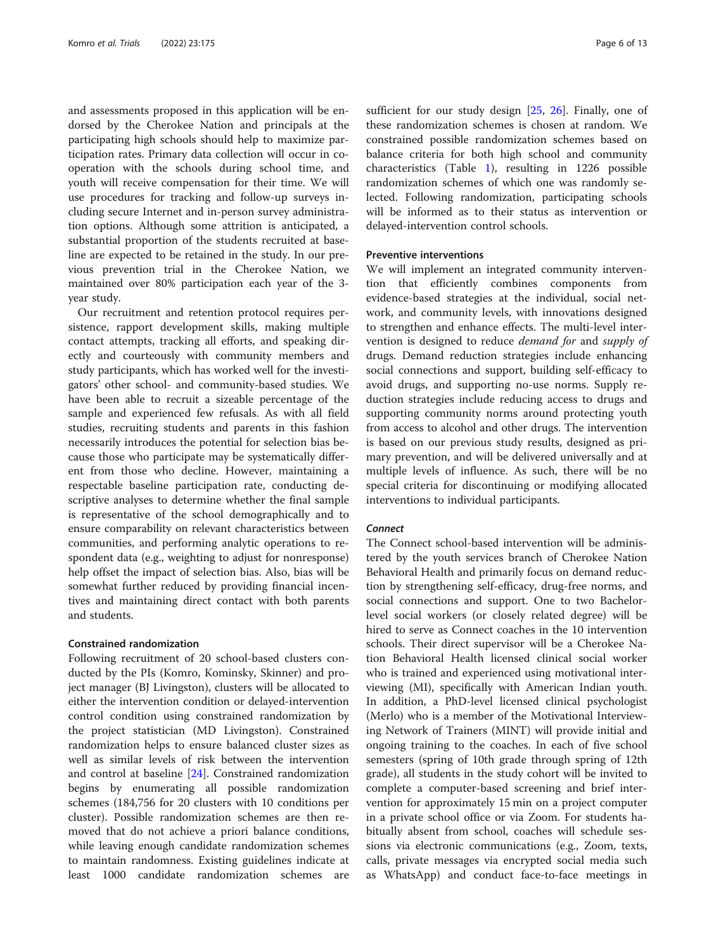and assessments proposed in this application will be endorsed by the Cherokee Nation and principals at the participating high schools should help to maximize participation rates. Primary data collection will occur in cooperation with the schools during school time, and youth will receive compensation for their time. We will use procedures for tracking and follow-up surveys including secure Internet and in-person survey administration options. Although some attrition is anticipated, a substantial proportion of the students recruited at baseline are expected to be retained in the study. In our previous prevention trial in the Cherokee Nation, we maintained over 80% participation each year of the 3 year study.

Our recruitment and retention protocol requires persistence, rapport development skills, making multiple contact attempts, tracking all efforts, and speaking directly and courteously with community members and study participants, which has worked well for the investigators' other school- and community-based studies. We have been able to recruit a sizeable percentage of the sample and experienced few refusals. As with all field studies, recruiting students and parents in this fashion necessarily introduces the potential for selection bias because those who participate may be systematically different from those who decline. However, maintaining a respectable baseline participation rate, conducting descriptive analyses to determine whether the final sample is representative of the school demographically and to ensure comparability on relevant characteristics between communities, and performing analytic operations to respondent data (e.g., weighting to adjust for nonresponse) help offset the impact of selection bias. Also, bias will be somewhat further reduced by providing financial incentives and maintaining direct contact with both parents and students.

# Constrained randomization

Following recruitment of 20 school-based clusters conducted by the PIs (Komro, Kominsky, Skinner) and project manager (BJ Livingston), clusters will be allocated to either the intervention condition or delayed-intervention control condition using constrained randomization by the project statistician (MD Livingston). Constrained randomization helps to ensure balanced cluster sizes as well as similar levels of risk between the intervention and control at baseline [[24\]](#page-12-0). Constrained randomization begins by enumerating all possible randomization schemes (184,756 for 20 clusters with 10 conditions per cluster). Possible randomization schemes are then removed that do not achieve a priori balance conditions, while leaving enough candidate randomization schemes to maintain randomness. Existing guidelines indicate at least 1000 candidate randomization schemes are sufficient for our study design [\[25](#page-12-0), [26\]](#page-12-0). Finally, one of these randomization schemes is chosen at random. We constrained possible randomization schemes based on balance criteria for both high school and community characteristics (Table [1](#page-6-0)), resulting in 1226 possible randomization schemes of which one was randomly selected. Following randomization, participating schools will be informed as to their status as intervention or delayed-intervention control schools.

# Preventive interventions

We will implement an integrated community intervention that efficiently combines components from evidence-based strategies at the individual, social network, and community levels, with innovations designed to strengthen and enhance effects. The multi-level intervention is designed to reduce demand for and supply of drugs. Demand reduction strategies include enhancing social connections and support, building self-efficacy to avoid drugs, and supporting no-use norms. Supply reduction strategies include reducing access to drugs and supporting community norms around protecting youth from access to alcohol and other drugs. The intervention is based on our previous study results, designed as primary prevention, and will be delivered universally and at multiple levels of influence. As such, there will be no special criteria for discontinuing or modifying allocated interventions to individual participants.

#### **Connect**

The Connect school-based intervention will be administered by the youth services branch of Cherokee Nation Behavioral Health and primarily focus on demand reduction by strengthening self-efficacy, drug-free norms, and social connections and support. One to two Bachelorlevel social workers (or closely related degree) will be hired to serve as Connect coaches in the 10 intervention schools. Their direct supervisor will be a Cherokee Nation Behavioral Health licensed clinical social worker who is trained and experienced using motivational interviewing (MI), specifically with American Indian youth. In addition, a PhD-level licensed clinical psychologist (Merlo) who is a member of the Motivational Interviewing Network of Trainers (MINT) will provide initial and ongoing training to the coaches. In each of five school semesters (spring of 10th grade through spring of 12th grade), all students in the study cohort will be invited to complete a computer-based screening and brief intervention for approximately 15 min on a project computer in a private school office or via Zoom. For students habitually absent from school, coaches will schedule sessions via electronic communications (e.g., Zoom, texts, calls, private messages via encrypted social media such as WhatsApp) and conduct face-to-face meetings in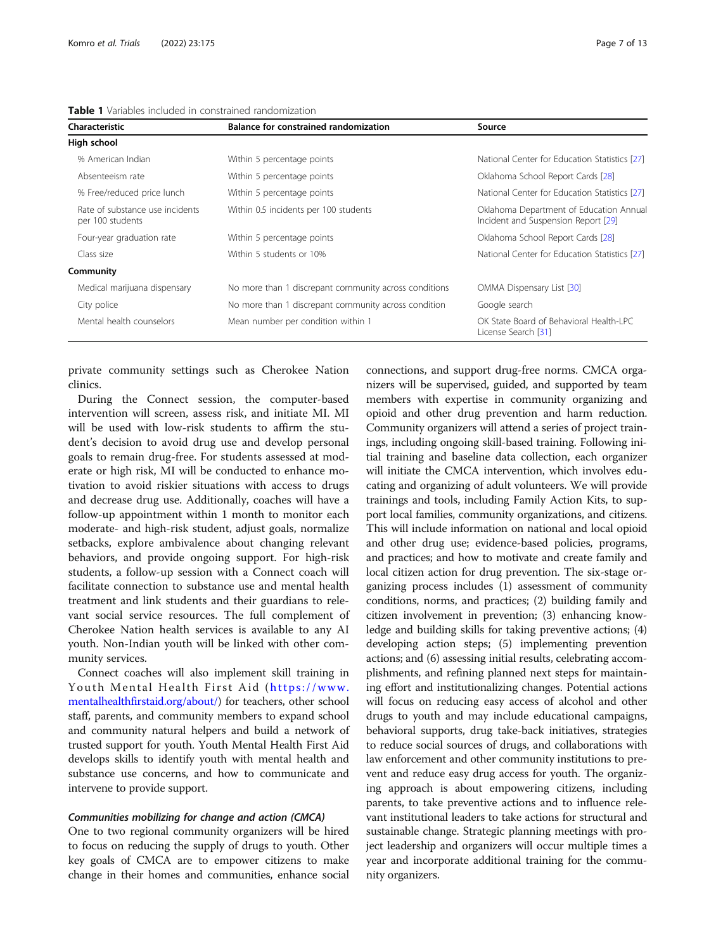| Characteristic                                      | Balance for constrained randomization                 | Source                                                                         |  |
|-----------------------------------------------------|-------------------------------------------------------|--------------------------------------------------------------------------------|--|
| High school                                         |                                                       |                                                                                |  |
| % American Indian                                   | Within 5 percentage points                            | National Center for Education Statistics [27]                                  |  |
| Absenteeism rate                                    | Within 5 percentage points                            | Oklahoma School Report Cards [28]                                              |  |
| % Free/reduced price lunch                          | Within 5 percentage points                            | National Center for Education Statistics [27]                                  |  |
| Rate of substance use incidents<br>per 100 students | Within 0.5 incidents per 100 students                 | Oklahoma Department of Education Annual<br>Incident and Suspension Report [29] |  |
| Four-year graduation rate                           | Within 5 percentage points                            | Oklahoma School Report Cards [28]                                              |  |
| Class size                                          | Within 5 students or 10%                              | National Center for Education Statistics [27]                                  |  |
| Community                                           |                                                       |                                                                                |  |
| Medical marijuana dispensary                        | No more than 1 discrepant community across conditions | OMMA Dispensary List [30]                                                      |  |
| City police                                         | No more than 1 discrepant community across condition  | Google search                                                                  |  |
| Mental health counselors                            | Mean number per condition within 1                    | OK State Board of Behavioral Health-LPC<br>License Search [31]                 |  |

<span id="page-6-0"></span>Table 1 Variables included in constrained randomization

private community settings such as Cherokee Nation clinics.

During the Connect session, the computer-based intervention will screen, assess risk, and initiate MI. MI will be used with low-risk students to affirm the student's decision to avoid drug use and develop personal goals to remain drug-free. For students assessed at moderate or high risk, MI will be conducted to enhance motivation to avoid riskier situations with access to drugs and decrease drug use. Additionally, coaches will have a follow-up appointment within 1 month to monitor each moderate- and high-risk student, adjust goals, normalize setbacks, explore ambivalence about changing relevant behaviors, and provide ongoing support. For high-risk students, a follow-up session with a Connect coach will facilitate connection to substance use and mental health treatment and link students and their guardians to relevant social service resources. The full complement of Cherokee Nation health services is available to any AI youth. Non-Indian youth will be linked with other community services.

Connect coaches will also implement skill training in Youth Mental Health First Aid ([https://www.](https://www.mentalhealthfirstaid.org/about/) [mentalhealthfirstaid.org/about/](https://www.mentalhealthfirstaid.org/about/)) for teachers, other school staff, parents, and community members to expand school and community natural helpers and build a network of trusted support for youth. Youth Mental Health First Aid develops skills to identify youth with mental health and substance use concerns, and how to communicate and intervene to provide support.

# Communities mobilizing for change and action (CMCA)

One to two regional community organizers will be hired to focus on reducing the supply of drugs to youth. Other key goals of CMCA are to empower citizens to make change in their homes and communities, enhance social

connections, and support drug-free norms. CMCA organizers will be supervised, guided, and supported by team members with expertise in community organizing and opioid and other drug prevention and harm reduction. Community organizers will attend a series of project trainings, including ongoing skill-based training. Following initial training and baseline data collection, each organizer will initiate the CMCA intervention, which involves educating and organizing of adult volunteers. We will provide trainings and tools, including Family Action Kits, to support local families, community organizations, and citizens. This will include information on national and local opioid and other drug use; evidence-based policies, programs, and practices; and how to motivate and create family and local citizen action for drug prevention. The six-stage organizing process includes (1) assessment of community conditions, norms, and practices; (2) building family and citizen involvement in prevention; (3) enhancing knowledge and building skills for taking preventive actions; (4) developing action steps; (5) implementing prevention actions; and (6) assessing initial results, celebrating accomplishments, and refining planned next steps for maintaining effort and institutionalizing changes. Potential actions will focus on reducing easy access of alcohol and other drugs to youth and may include educational campaigns, behavioral supports, drug take-back initiatives, strategies to reduce social sources of drugs, and collaborations with law enforcement and other community institutions to prevent and reduce easy drug access for youth. The organizing approach is about empowering citizens, including parents, to take preventive actions and to influence relevant institutional leaders to take actions for structural and sustainable change. Strategic planning meetings with project leadership and organizers will occur multiple times a year and incorporate additional training for the community organizers.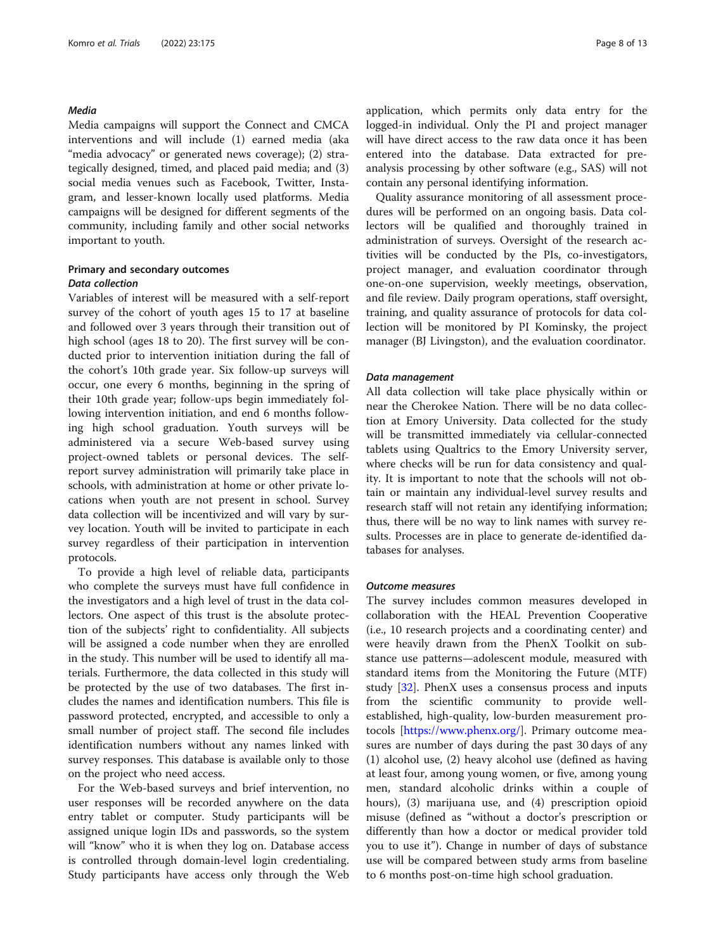# Media

Media campaigns will support the Connect and CMCA interventions and will include (1) earned media (aka "media advocacy" or generated news coverage); (2) strategically designed, timed, and placed paid media; and (3) social media venues such as Facebook, Twitter, Instagram, and lesser-known locally used platforms. Media campaigns will be designed for different segments of the community, including family and other social networks important to youth.

# Primary and secondary outcomes Data collection

Variables of interest will be measured with a self-report survey of the cohort of youth ages 15 to 17 at baseline and followed over 3 years through their transition out of high school (ages 18 to 20). The first survey will be conducted prior to intervention initiation during the fall of the cohort's 10th grade year. Six follow-up surveys will occur, one every 6 months, beginning in the spring of their 10th grade year; follow-ups begin immediately following intervention initiation, and end 6 months following high school graduation. Youth surveys will be administered via a secure Web-based survey using project-owned tablets or personal devices. The selfreport survey administration will primarily take place in schools, with administration at home or other private locations when youth are not present in school. Survey data collection will be incentivized and will vary by survey location. Youth will be invited to participate in each survey regardless of their participation in intervention protocols.

To provide a high level of reliable data, participants who complete the surveys must have full confidence in the investigators and a high level of trust in the data collectors. One aspect of this trust is the absolute protection of the subjects' right to confidentiality. All subjects will be assigned a code number when they are enrolled in the study. This number will be used to identify all materials. Furthermore, the data collected in this study will be protected by the use of two databases. The first includes the names and identification numbers. This file is password protected, encrypted, and accessible to only a small number of project staff. The second file includes identification numbers without any names linked with survey responses. This database is available only to those on the project who need access.

For the Web-based surveys and brief intervention, no user responses will be recorded anywhere on the data entry tablet or computer. Study participants will be assigned unique login IDs and passwords, so the system will "know" who it is when they log on. Database access is controlled through domain-level login credentialing. Study participants have access only through the Web application, which permits only data entry for the logged-in individual. Only the PI and project manager will have direct access to the raw data once it has been entered into the database. Data extracted for preanalysis processing by other software (e.g., SAS) will not contain any personal identifying information.

Quality assurance monitoring of all assessment procedures will be performed on an ongoing basis. Data collectors will be qualified and thoroughly trained in administration of surveys. Oversight of the research activities will be conducted by the PIs, co-investigators, project manager, and evaluation coordinator through one-on-one supervision, weekly meetings, observation, and file review. Daily program operations, staff oversight, training, and quality assurance of protocols for data collection will be monitored by PI Kominsky, the project manager (BJ Livingston), and the evaluation coordinator.

#### Data management

All data collection will take place physically within or near the Cherokee Nation. There will be no data collection at Emory University. Data collected for the study will be transmitted immediately via cellular-connected tablets using Qualtrics to the Emory University server, where checks will be run for data consistency and quality. It is important to note that the schools will not obtain or maintain any individual-level survey results and research staff will not retain any identifying information; thus, there will be no way to link names with survey results. Processes are in place to generate de-identified databases for analyses.

#### Outcome measures

The survey includes common measures developed in collaboration with the HEAL Prevention Cooperative (i.e., 10 research projects and a coordinating center) and were heavily drawn from the PhenX Toolkit on substance use patterns—adolescent module, measured with standard items from the Monitoring the Future (MTF) study [[32\]](#page-12-0). PhenX uses a consensus process and inputs from the scientific community to provide wellestablished, high-quality, low-burden measurement protocols [[https://www.phenx.org/\]](https://www.phenx.org/). Primary outcome measures are number of days during the past 30 days of any (1) alcohol use, (2) heavy alcohol use (defined as having at least four, among young women, or five, among young men, standard alcoholic drinks within a couple of hours), (3) marijuana use, and (4) prescription opioid misuse (defined as "without a doctor's prescription or differently than how a doctor or medical provider told you to use it"). Change in number of days of substance use will be compared between study arms from baseline to 6 months post-on-time high school graduation.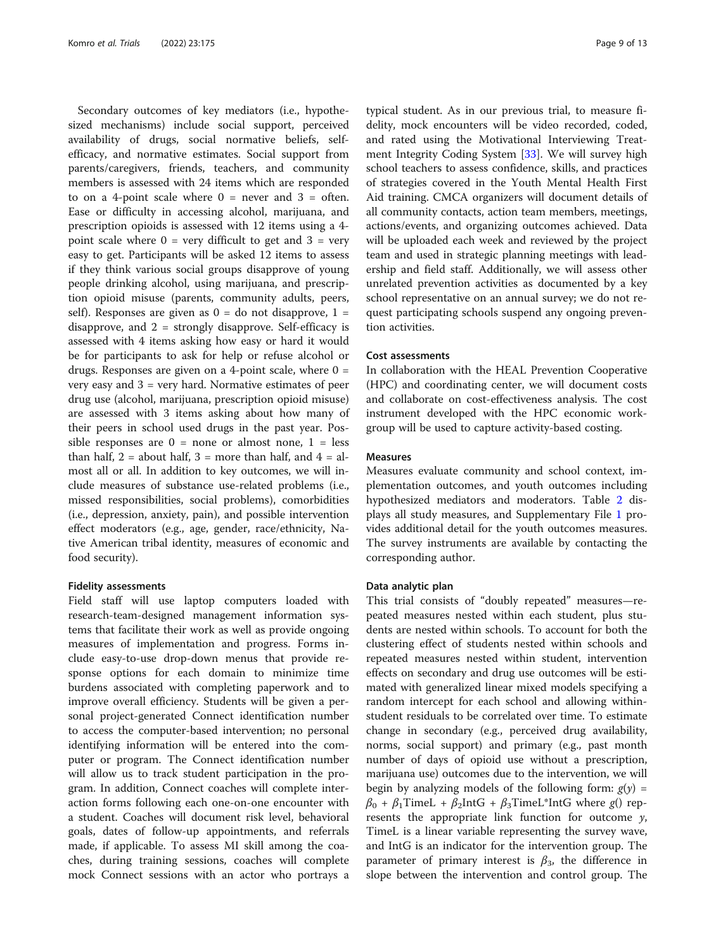Secondary outcomes of key mediators (i.e., hypothesized mechanisms) include social support, perceived availability of drugs, social normative beliefs, selfefficacy, and normative estimates. Social support from parents/caregivers, friends, teachers, and community members is assessed with 24 items which are responded to on a 4-point scale where  $0 =$  never and  $3 =$  often. Ease or difficulty in accessing alcohol, marijuana, and prescription opioids is assessed with 12 items using a 4 point scale where  $0 = \text{very difficult to get and } 3 = \text{very}$ easy to get. Participants will be asked 12 items to assess if they think various social groups disapprove of young people drinking alcohol, using marijuana, and prescription opioid misuse (parents, community adults, peers, self). Responses are given as  $0 =$  do not disapprove,  $1 =$ disapprove, and  $2 =$  strongly disapprove. Self-efficacy is assessed with 4 items asking how easy or hard it would be for participants to ask for help or refuse alcohol or drugs. Responses are given on a 4-point scale, where 0 = very easy and 3 = very hard. Normative estimates of peer drug use (alcohol, marijuana, prescription opioid misuse) are assessed with 3 items asking about how many of their peers in school used drugs in the past year. Possible responses are  $0 =$  none or almost none,  $1 =$  less than half,  $2 =$  about half,  $3 =$  more than half, and  $4 =$  almost all or all. In addition to key outcomes, we will include measures of substance use-related problems (i.e., missed responsibilities, social problems), comorbidities (i.e., depression, anxiety, pain), and possible intervention effect moderators (e.g., age, gender, race/ethnicity, Native American tribal identity, measures of economic and food security).

# Fidelity assessments

Field staff will use laptop computers loaded with research-team-designed management information systems that facilitate their work as well as provide ongoing measures of implementation and progress. Forms include easy-to-use drop-down menus that provide response options for each domain to minimize time burdens associated with completing paperwork and to improve overall efficiency. Students will be given a personal project-generated Connect identification number to access the computer-based intervention; no personal identifying information will be entered into the computer or program. The Connect identification number will allow us to track student participation in the program. In addition, Connect coaches will complete interaction forms following each one-on-one encounter with a student. Coaches will document risk level, behavioral goals, dates of follow-up appointments, and referrals made, if applicable. To assess MI skill among the coaches, during training sessions, coaches will complete mock Connect sessions with an actor who portrays a

typical student. As in our previous trial, to measure fidelity, mock encounters will be video recorded, coded, and rated using the Motivational Interviewing Treatment Integrity Coding System [[33](#page-12-0)]. We will survey high school teachers to assess confidence, skills, and practices of strategies covered in the Youth Mental Health First Aid training. CMCA organizers will document details of all community contacts, action team members, meetings, actions/events, and organizing outcomes achieved. Data will be uploaded each week and reviewed by the project team and used in strategic planning meetings with leadership and field staff. Additionally, we will assess other unrelated prevention activities as documented by a key school representative on an annual survey; we do not request participating schools suspend any ongoing prevention activities.

# Cost assessments

In collaboration with the HEAL Prevention Cooperative (HPC) and coordinating center, we will document costs and collaborate on cost-effectiveness analysis. The cost instrument developed with the HPC economic workgroup will be used to capture activity-based costing.

# Measures

Measures evaluate community and school context, implementation outcomes, and youth outcomes including hypothesized mediators and moderators. Table [2](#page-9-0) displays all study measures, and Supplementary File [1](#page-11-0) provides additional detail for the youth outcomes measures. The survey instruments are available by contacting the corresponding author.

# Data analytic plan

This trial consists of "doubly repeated" measures—repeated measures nested within each student, plus students are nested within schools. To account for both the clustering effect of students nested within schools and repeated measures nested within student, intervention effects on secondary and drug use outcomes will be estimated with generalized linear mixed models specifying a random intercept for each school and allowing withinstudent residuals to be correlated over time. To estimate change in secondary (e.g., perceived drug availability, norms, social support) and primary (e.g., past month number of days of opioid use without a prescription, marijuana use) outcomes due to the intervention, we will begin by analyzing models of the following form:  $g(y)$  =  $\beta_0$  +  $\beta_1$ TimeL +  $\beta_2$ IntG +  $\beta_3$ TimeL\*IntG where g() represents the appropriate link function for outcome y, TimeL is a linear variable representing the survey wave, and IntG is an indicator for the intervention group. The parameter of primary interest is  $\beta_3$ , the difference in slope between the intervention and control group. The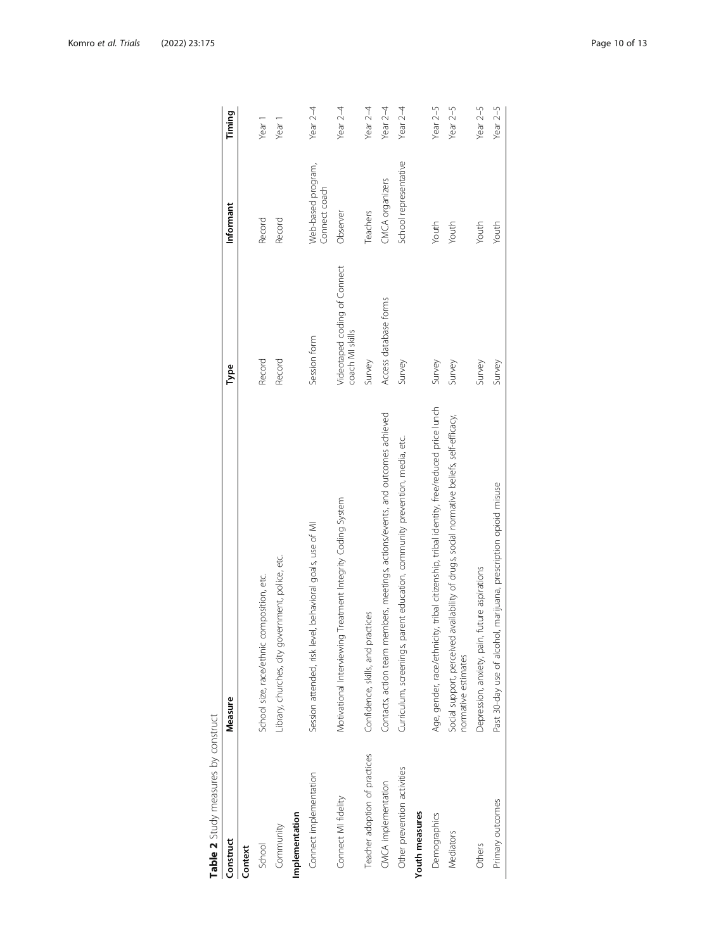<span id="page-9-0"></span>

| Table 2 Study measures by construct |                                                                                                                  |                                                 |                                     |            |
|-------------------------------------|------------------------------------------------------------------------------------------------------------------|-------------------------------------------------|-------------------------------------|------------|
| Construct                           | Measure                                                                                                          | Type                                            | Informant                           | Timing     |
| Context                             |                                                                                                                  |                                                 |                                     |            |
| School                              | School size, race/ethnic composition, etc.                                                                       | Record                                          | Record                              | Year 1     |
| Community                           | Library, churches, city government, police, etc.                                                                 | Record                                          | Record                              | Year 1     |
| Implementation                      |                                                                                                                  |                                                 |                                     |            |
| Connect implementation              | Session attended, risk level, behavioral goals, use of MI                                                        | Session form                                    | Web-based program,<br>Connect coach | Year $2-4$ |
| Connect MI fidelity                 | Motivational Interviewing Treatment Integrity Coding System                                                      | Videotaped coding of Connect<br>coach MI skills | Observer                            | Year $2-4$ |
| Teacher adoption of practices       | practices<br>Confidence, skills, and                                                                             | Survey                                          | Teachers                            | Year $2-4$ |
| CMCA implementation                 | Contacts, action team members, meetings, actions/events, and outcomes achieved                                   | Access database forms                           | CMCA organizers                     | Year $2-4$ |
| Other prevention activities         | Curriculum, screenings, parent education, community prevention, media, etc.                                      | Survey                                          | School representative               | Year $2-4$ |
| Youth measures                      |                                                                                                                  |                                                 |                                     |            |
| Demographics                        | Age, gender, race/ethnicity, tribal citizenship, tribal identity, free/reduced price lunch                       | Survey                                          | Youth                               | Year $2-5$ |
| Mediators                           | Social support, perceived availability of drugs, social normative beliefs, self-efficacy,<br>normative estimates | Survey                                          | Youth                               | Year $2-5$ |
| Others                              | Depression, anxiety, pain, future aspirations                                                                    | Survey                                          | Youth                               | Year $2-5$ |
| Primary outcomes                    | Past 30-day use of alcohol, marijuana, prescription opioid misuse                                                | Survey                                          | Youth                               | Year $2-5$ |
|                                     |                                                                                                                  |                                                 |                                     |            |

| )<br>5<br>$\frac{1}{2}$              |
|--------------------------------------|
| J                                    |
| וו ממחירווימר מו<br>)<br>D<br>)<br>5 |
|                                      |
|                                      |
|                                      |
|                                      |
|                                      |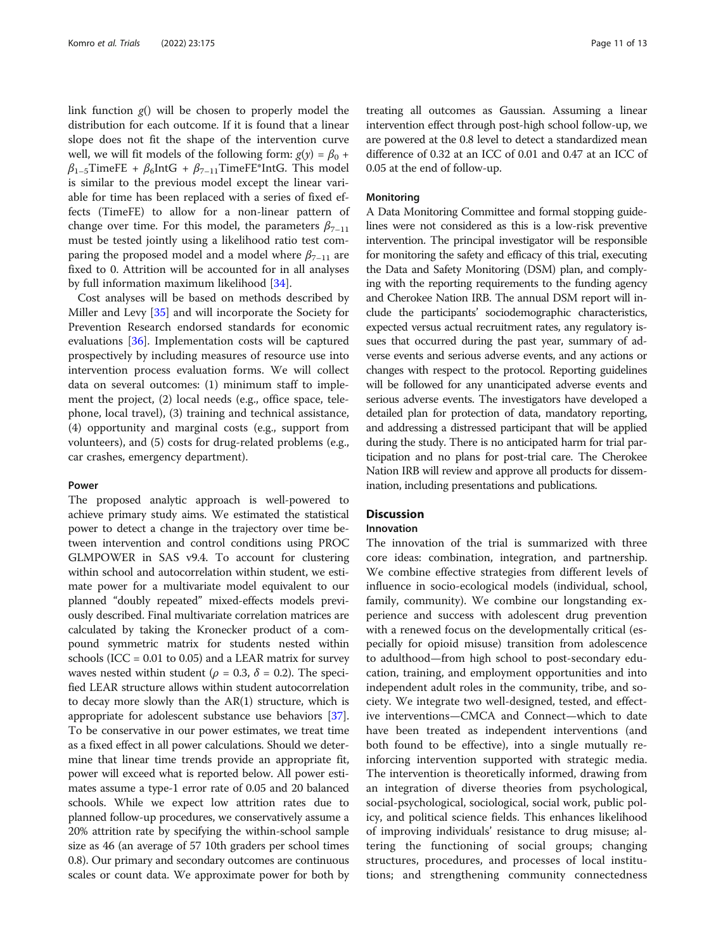link function  $g()$  will be chosen to properly model the distribution for each outcome. If it is found that a linear slope does not fit the shape of the intervention curve well, we will fit models of the following form:  $g(y) = \beta_0 +$  $\beta_{1-5}$ TimeFE +  $\beta_6$ IntG +  $\beta_{7-11}$ TimeFE\*IntG. This model is similar to the previous model except the linear variable for time has been replaced with a series of fixed effects (TimeFE) to allow for a non-linear pattern of change over time. For this model, the parameters  $\beta_{7-11}$ must be tested jointly using a likelihood ratio test comparing the proposed model and a model where  $\beta_{7-11}$  are fixed to 0. Attrition will be accounted for in all analyses by full information maximum likelihood [[34\]](#page-12-0).

Cost analyses will be based on methods described by Miller and Levy [\[35\]](#page-12-0) and will incorporate the Society for Prevention Research endorsed standards for economic evaluations [[36](#page-12-0)]. Implementation costs will be captured prospectively by including measures of resource use into intervention process evaluation forms. We will collect data on several outcomes: (1) minimum staff to implement the project, (2) local needs (e.g., office space, telephone, local travel), (3) training and technical assistance, (4) opportunity and marginal costs (e.g., support from volunteers), and (5) costs for drug-related problems (e.g., car crashes, emergency department).

# Power

The proposed analytic approach is well-powered to achieve primary study aims. We estimated the statistical power to detect a change in the trajectory over time between intervention and control conditions using PROC GLMPOWER in SAS v9.4. To account for clustering within school and autocorrelation within student, we estimate power for a multivariate model equivalent to our planned "doubly repeated" mixed-effects models previously described. Final multivariate correlation matrices are calculated by taking the Kronecker product of a compound symmetric matrix for students nested within schools (ICC =  $0.01$  to  $0.05$ ) and a LEAR matrix for survey waves nested within student ( $\rho = 0.3$ ,  $\delta = 0.2$ ). The specified LEAR structure allows within student autocorrelation to decay more slowly than the AR(1) structure, which is appropriate for adolescent substance use behaviors [[37](#page-12-0)]. To be conservative in our power estimates, we treat time as a fixed effect in all power calculations. Should we determine that linear time trends provide an appropriate fit, power will exceed what is reported below. All power estimates assume a type-1 error rate of 0.05 and 20 balanced schools. While we expect low attrition rates due to planned follow-up procedures, we conservatively assume a 20% attrition rate by specifying the within-school sample size as 46 (an average of 57 10th graders per school times 0.8). Our primary and secondary outcomes are continuous scales or count data. We approximate power for both by

treating all outcomes as Gaussian. Assuming a linear intervention effect through post-high school follow-up, we are powered at the 0.8 level to detect a standardized mean difference of 0.32 at an ICC of 0.01 and 0.47 at an ICC of 0.05 at the end of follow-up.

#### Monitoring

A Data Monitoring Committee and formal stopping guidelines were not considered as this is a low-risk preventive intervention. The principal investigator will be responsible for monitoring the safety and efficacy of this trial, executing the Data and Safety Monitoring (DSM) plan, and complying with the reporting requirements to the funding agency and Cherokee Nation IRB. The annual DSM report will include the participants' sociodemographic characteristics, expected versus actual recruitment rates, any regulatory issues that occurred during the past year, summary of adverse events and serious adverse events, and any actions or changes with respect to the protocol. Reporting guidelines will be followed for any unanticipated adverse events and serious adverse events. The investigators have developed a detailed plan for protection of data, mandatory reporting, and addressing a distressed participant that will be applied during the study. There is no anticipated harm for trial participation and no plans for post-trial care. The Cherokee Nation IRB will review and approve all products for dissemination, including presentations and publications.

# Discussion

# Innovation

The innovation of the trial is summarized with three core ideas: combination, integration, and partnership. We combine effective strategies from different levels of influence in socio-ecological models (individual, school, family, community). We combine our longstanding experience and success with adolescent drug prevention with a renewed focus on the developmentally critical (especially for opioid misuse) transition from adolescence to adulthood—from high school to post-secondary education, training, and employment opportunities and into independent adult roles in the community, tribe, and society. We integrate two well-designed, tested, and effective interventions—CMCA and Connect—which to date have been treated as independent interventions (and both found to be effective), into a single mutually reinforcing intervention supported with strategic media. The intervention is theoretically informed, drawing from an integration of diverse theories from psychological, social-psychological, sociological, social work, public policy, and political science fields. This enhances likelihood of improving individuals' resistance to drug misuse; altering the functioning of social groups; changing structures, procedures, and processes of local institutions; and strengthening community connectedness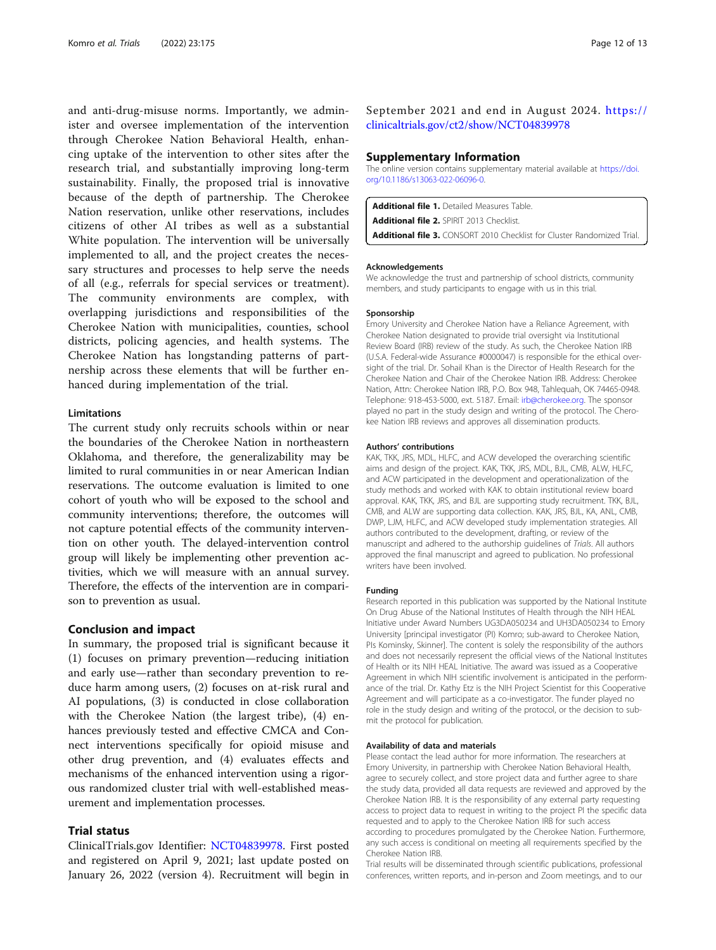<span id="page-11-0"></span>and anti-drug-misuse norms. Importantly, we administer and oversee implementation of the intervention through Cherokee Nation Behavioral Health, enhancing uptake of the intervention to other sites after the research trial, and substantially improving long-term sustainability. Finally, the proposed trial is innovative because of the depth of partnership. The Cherokee Nation reservation, unlike other reservations, includes citizens of other AI tribes as well as a substantial White population. The intervention will be universally implemented to all, and the project creates the necessary structures and processes to help serve the needs of all (e.g., referrals for special services or treatment). The community environments are complex, with overlapping jurisdictions and responsibilities of the Cherokee Nation with municipalities, counties, school districts, policing agencies, and health systems. The Cherokee Nation has longstanding patterns of partnership across these elements that will be further enhanced during implementation of the trial.

#### **Limitations**

The current study only recruits schools within or near the boundaries of the Cherokee Nation in northeastern Oklahoma, and therefore, the generalizability may be limited to rural communities in or near American Indian reservations. The outcome evaluation is limited to one cohort of youth who will be exposed to the school and community interventions; therefore, the outcomes will not capture potential effects of the community intervention on other youth. The delayed-intervention control group will likely be implementing other prevention activities, which we will measure with an annual survey. Therefore, the effects of the intervention are in comparison to prevention as usual.

# Conclusion and impact

In summary, the proposed trial is significant because it (1) focuses on primary prevention—reducing initiation and early use—rather than secondary prevention to reduce harm among users, (2) focuses on at-risk rural and AI populations, (3) is conducted in close collaboration with the Cherokee Nation (the largest tribe), (4) enhances previously tested and effective CMCA and Connect interventions specifically for opioid misuse and other drug prevention, and (4) evaluates effects and mechanisms of the enhanced intervention using a rigorous randomized cluster trial with well-established measurement and implementation processes.

# Trial status

ClinicalTrials.gov Identifier: [NCT04839978](https://clinicaltrials.gov/ct2/show/NCT04839978). First posted and registered on April 9, 2021; last update posted on January 26, 2022 (version 4). Recruitment will begin in

# September 2021 and end in August 2024. [https://](https://clinicaltrials.gov/ct2/show/NCT04839978) [clinicaltrials.gov/ct2/show/NCT04839978](https://clinicaltrials.gov/ct2/show/NCT04839978)

#### Supplementary Information

The online version contains supplementary material available at [https://doi.](https://doi.org/10.1186/s13063-022-06096-0) [org/10.1186/s13063-022-06096-0.](https://doi.org/10.1186/s13063-022-06096-0)

Additional file 1. Detailed Measures Table. Additional file 2. SPIRIT 2013 Checklist Additional file 3. CONSORT 2010 Checklist for Cluster Randomized Trial.

#### Acknowledgements

We acknowledge the trust and partnership of school districts, community members, and study participants to engage with us in this trial.

#### Sponsorship

Emory University and Cherokee Nation have a Reliance Agreement, with Cherokee Nation designated to provide trial oversight via Institutional Review Board (IRB) review of the study. As such, the Cherokee Nation IRB (U.S.A. Federal-wide Assurance #0000047) is responsible for the ethical oversight of the trial. Dr. Sohail Khan is the Director of Health Research for the Cherokee Nation and Chair of the Cherokee Nation IRB. Address: Cherokee Nation, Attn: Cherokee Nation IRB, P.O. Box 948, Tahlequah, OK 74465-0948. Telephone: 918-453-5000, ext. 5187. Email: [irb@cherokee.org.](mailto:irb@cherokee.org) The sponsor played no part in the study design and writing of the protocol. The Cherokee Nation IRB reviews and approves all dissemination products.

#### Authors' contributions

KAK, TKK, JRS, MDL, HLFC, and ACW developed the overarching scientific aims and design of the project. KAK, TKK, JRS, MDL, BJL, CMB, ALW, HLFC, and ACW participated in the development and operationalization of the study methods and worked with KAK to obtain institutional review board approval. KAK, TKK, JRS, and BJL are supporting study recruitment. TKK, BJL, CMB, and ALW are supporting data collection. KAK, JRS, BJL, KA, ANL, CMB, DWP, LJM, HLFC, and ACW developed study implementation strategies. All authors contributed to the development, drafting, or review of the manuscript and adhered to the authorship guidelines of Trials. All authors approved the final manuscript and agreed to publication. No professional writers have been involved.

#### Funding

Research reported in this publication was supported by the National Institute On Drug Abuse of the National Institutes of Health through the NIH HEAL Initiative under Award Numbers UG3DA050234 and UH3DA050234 to Emory University [principal investigator (PI) Komro; sub-award to Cherokee Nation, PIs Kominsky, Skinner]. The content is solely the responsibility of the authors and does not necessarily represent the official views of the National Institutes of Health or its NIH HEAL Initiative. The award was issued as a Cooperative Agreement in which NIH scientific involvement is anticipated in the performance of the trial. Dr. Kathy Etz is the NIH Project Scientist for this Cooperative Agreement and will participate as a co-investigator. The funder played no role in the study design and writing of the protocol, or the decision to submit the protocol for publication.

#### Availability of data and materials

Please contact the lead author for more information. The researchers at Emory University, in partnership with Cherokee Nation Behavioral Health, agree to securely collect, and store project data and further agree to share the study data, provided all data requests are reviewed and approved by the Cherokee Nation IRB. It is the responsibility of any external party requesting access to project data to request in writing to the project PI the specific data requested and to apply to the Cherokee Nation IRB for such access according to procedures promulgated by the Cherokee Nation. Furthermore, any such access is conditional on meeting all requirements specified by the Cherokee Nation IRB.

Trial results will be disseminated through scientific publications, professional conferences, written reports, and in-person and Zoom meetings, and to our